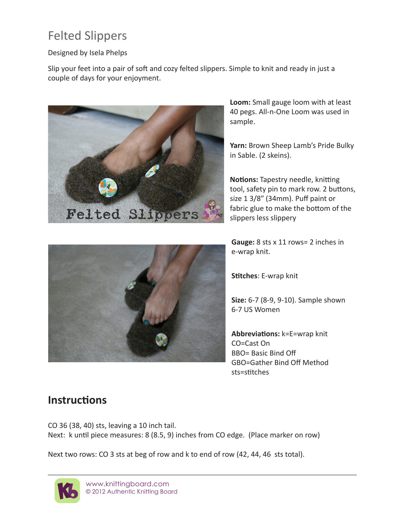# Felted Slippers

## Designed by Isela Phelps

Slip your feet into a pair of soft and cozy felted slippers. Simple to knit and ready in just a couple of days for your enjoyment.



**Loom:** Small gauge loom with at least 40 pegs. All-n-One Loom was used in sample.

**Yarn:** Brown Sheep Lamb's Pride Bulky in Sable. (2 skeins).

**Notions:** Tapestry needle, knitting tool, safety pin to mark row. 2 buttons, size 1 3/8″ (34mm). Puff paint or fabric glue to make the bottom of the slippers less slippery



**Stitches**: E-wrap knit

**Size:** 6-7 (8-9, 9-10). Sample shown 6-7 US Women

**Abbreviations:** k=E=wrap knit CO=Cast On BBO= Basic Bind Off GBO=Gather Bind Off Method sts=stitches

## **Instructions**

CO 36 (38, 40) sts, leaving a 10 inch tail. Next: k until piece measures: 8 (8.5, 9) inches from CO edge. (Place marker on row)

Next two rows: CO 3 sts at beg of row and k to end of row (42, 44, 46 sts total).